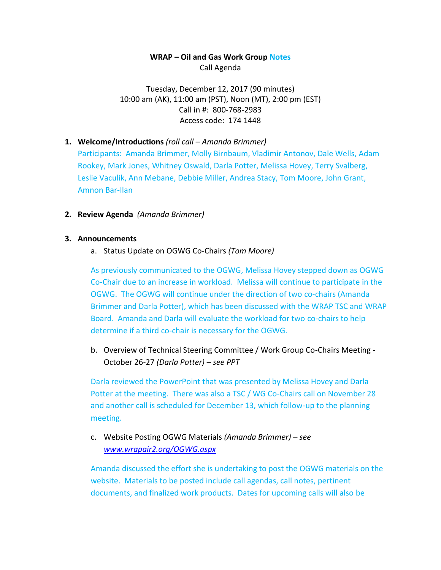### **WRAP – Oil and Gas Work Group Notes** Call Agenda

Tuesday, December 12, 2017 (90 minutes) 10:00 am (AK), 11:00 am (PST), Noon (MT), 2:00 pm (EST) Call in #: 800-768-2983 Access code: 174 1448

- **1. Welcome/Introductions** *(roll call – Amanda Brimmer)* Participants: Amanda Brimmer, Molly Birnbaum, Vladimir Antonov, Dale Wells, Adam Rookey, Mark Jones, Whitney Oswald, Darla Potter, Melissa Hovey, Terry Svalberg, Leslie Vaculik, Ann Mebane, Debbie Miller, Andrea Stacy, Tom Moore, John Grant, Amnon Bar-Ilan
- **2. Review Agenda** *(Amanda Brimmer)*

#### **3. Announcements**

a. Status Update on OGWG Co-Chairs *(Tom Moore)*

As previously communicated to the OGWG, Melissa Hovey stepped down as OGWG Co-Chair due to an increase in workload. Melissa will continue to participate in the OGWG. The OGWG will continue under the direction of two co-chairs (Amanda Brimmer and Darla Potter), which has been discussed with the WRAP TSC and WRAP Board. Amanda and Darla will evaluate the workload for two co-chairs to help determine if a third co-chair is necessary for the OGWG.

b. Overview of Technical Steering Committee / Work Group Co-Chairs Meeting - October 26-27 *(Darla Potter) – see PPT*

Darla reviewed the PowerPoint that was presented by Melissa Hovey and Darla Potter at the meeting. There was also a TSC / WG Co-Chairs call on November 28 and another call is scheduled for December 13, which follow-up to the planning meeting.

c. Website Posting OGWG Materials *(Amanda Brimmer) – see [www.wrapair2.org/OGWG.aspx](http://www.wrapair2.org/OGWG.aspx)*

Amanda discussed the effort she is undertaking to post the OGWG materials on the website. Materials to be posted include call agendas, call notes, pertinent documents, and finalized work products. Dates for upcoming calls will also be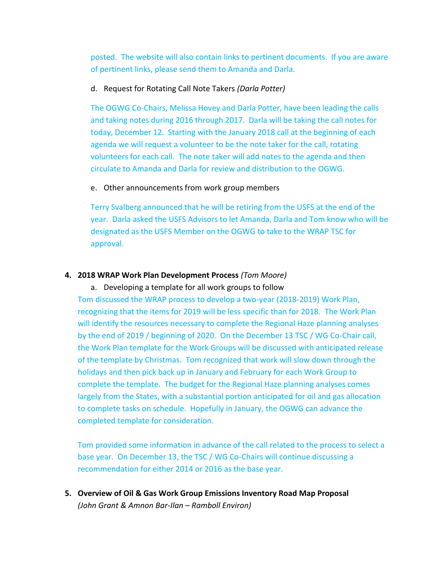posted. The website will also contain links to pertinent documents. If you are aware of pertinent links, please send them to Amanda and Darla.

### d. Request for Rotating Call Note Takers *(Darla Potter)*

The OGWG Co-Chairs, Melissa Hovey and Darla Potter, have been leading the calls and taking notes during 2016 through 2017. Darla will be taking the call notes for today, December 12. Starting with the January 2018 call at the beginning of each agenda we will request a volunteer to be the note taker for the call, rotating volunteers for each call. The note taker will add notes to the agenda and then circulate to Amanda and Darla for review and distribution to the OGWG.

### e. Other announcements from work group members

Terry Svalberg announced that he will be retiring from the USFS at the end of the year. Darla asked the USFS Advisors to let Amanda, Darla and Tom know who will be designated as the USFS Member on the OGWG to take to the WRAP TSC for approval.

### **4. 2018 WRAP Work Plan Development Process** *(Tom Moore)*

#### a. Developing a template for all work groups to follow

Tom discussed the WRAP process to develop a two-year (2018-2019) Work Plan, recognizing that the items for 2019 will be less specific than for 2018. The Work Plan will identify the resources necessary to complete the Regional Haze planning analyses by the end of 2019 / beginning of 2020. On the December 13 TSC / WG Co-Chair call, the Work Plan template for the Work Groups will be discussed with anticipated release of the template by Christmas. Tom recognized that work will slow down through the holidays and then pick back up in January and February for each Work Group to complete the template. The budget for the Regional Haze planning analyses comes largely from the States, with a substantial portion anticipated for oil and gas allocation to complete tasks on schedule. Hopefully in January, the OGWG can advance the completed template for consideration.

Tom provided some information in advance of the call related to the process to select a base year. On December 13, the TSC / WG Co-Chairs will continue discussing a recommendation for either 2014 or 2016 as the base year.

**5. Overview of Oil & Gas Work Group Emissions Inventory Road Map Proposal**  *(John Grant & Amnon Bar-Ilan – Ramboll Environ)*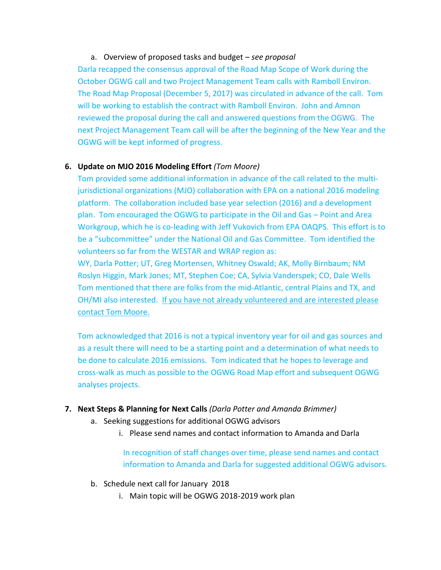## a. Overview of proposed tasks and budget – *see proposal*

Darla recapped the consensus approval of the Road Map Scope of Work during the October OGWG call and two Project Management Team calls with Ramboll Environ. The Road Map Proposal (December 5, 2017) was circulated in advance of the call. Tom will be working to establish the contract with Ramboll Environ. John and Amnon reviewed the proposal during the call and answered questions from the OGWG. The next Project Management Team call will be after the beginning of the New Year and the OGWG will be kept informed of progress.

# **6. Update on MJO 2016 Modeling Effort** *(Tom Moore)*

Tom provided some additional information in advance of the call related to the multijurisdictional organizations (MJO) collaboration with EPA on a national 2016 modeling platform. The collaboration included base year selection (2016) and a development plan. Tom encouraged the OGWG to participate in the Oil and Gas – Point and Area Workgroup, which he is co-leading with Jeff Vukovich from EPA OAQPS. This effort is to be a "subcommittee" under the National Oil and Gas Committee. Tom identified the volunteers so far from the WESTAR and WRAP region as:

WY, Darla Potter; UT, Greg Mortensen, Whitney Oswald; AK, Molly Birnbaum; NM Roslyn Higgin, Mark Jones; MT, Stephen Coe; CA, Sylvia Vanderspek; CO, Dale Wells Tom mentioned that there are folks from the mid-Atlantic, central Plains and TX, and OH/MI also interested. If you have not already volunteered and are interested please contact Tom Moore.

Tom acknowledged that 2016 is not a typical inventory year for oil and gas sources and as a result there will need to be a starting point and a determination of what needs to be done to calculate 2016 emissions. Tom indicated that he hopes to leverage and cross-walk as much as possible to the OGWG Road Map effort and subsequent OGWG analyses projects.

### **7. Next Steps & Planning for Next Calls** *(Darla Potter and Amanda Brimmer)*

- a. Seeking suggestions for additional OGWG advisors
	- i. Please send names and contact information to Amanda and Darla

In recognition of staff changes over time, please send names and contact information to Amanda and Darla for suggested additional OGWG advisors.

- b. Schedule next call for January 2018
	- i. Main topic will be OGWG 2018-2019 work plan